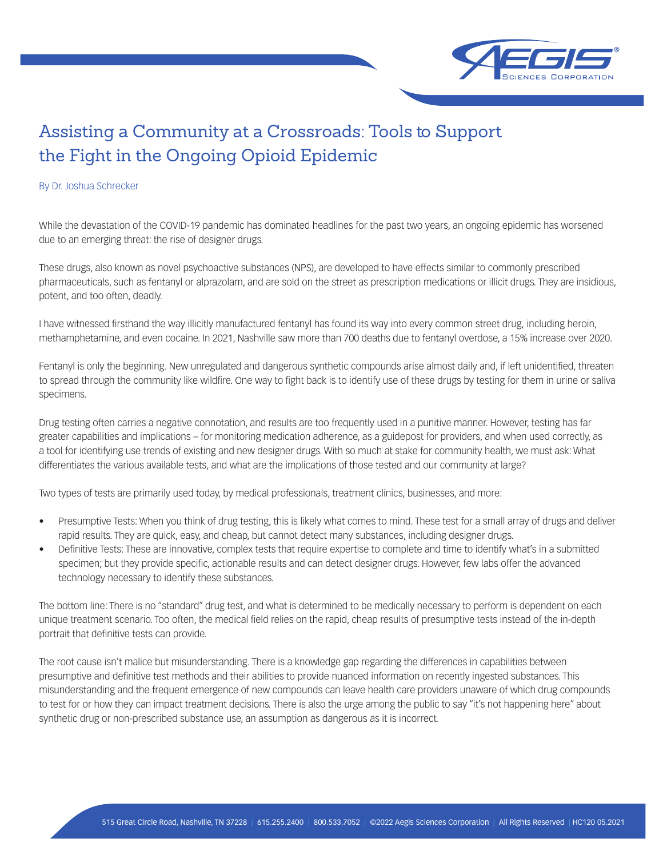

## Assisting a Community at a Crossroads: Tools to Support the Fight in the Ongoing Opioid Epidemic

## By Dr. Joshua Schrecker

While the devastation of the COVID-19 pandemic has dominated headlines for the past two years, an ongoing epidemic has worsened due to an emerging threat: the rise of designer drugs.

These drugs, also known as novel psychoactive substances (NPS), are developed to have effects similar to commonly prescribed pharmaceuticals, such as fentanyl or alprazolam, and are sold on the street as prescription medications or illicit drugs. They are insidious, potent, and too often, deadly.

I have witnessed firsthand the way illicitly manufactured fentanyl has found its way into every common street drug, including heroin, methamphetamine, and even cocaine. In 2021, Nashville saw more than 700 deaths due to fentanyl overdose, a 15% increase over 2020.

Fentanyl is only the beginning. New unregulated and dangerous synthetic compounds arise almost daily and, if left unidentified, threaten to spread through the community like wildfire. One way to fight back is to identify use of these drugs by testing for them in urine or saliva specimens.

Drug testing often carries a negative connotation, and results are too frequently used in a punitive manner. However, testing has far greater capabilities and implications – for monitoring medication adherence, as a guidepost for providers, and when used correctly, as a tool for identifying use trends of existing and new designer drugs. With so much at stake for community health, we must ask: What differentiates the various available tests, and what are the implications of those tested and our community at large?

Two types of tests are primarily used today, by medical professionals, treatment clinics, businesses, and more:

- Presumptive Tests: When you think of drug testing, this is likely what comes to mind. These test for a small array of drugs and deliver rapid results. They are quick, easy, and cheap, but cannot detect many substances, including designer drugs.
- Definitive Tests: These are innovative, complex tests that require expertise to complete and time to identify what's in a submitted specimen; but they provide specific, actionable results and can detect designer drugs. However, few labs offer the advanced technology necessary to identify these substances.

The bottom line: There is no "standard" drug test, and what is determined to be medically necessary to perform is dependent on each unique treatment scenario. Too often, the medical field relies on the rapid, cheap results of presumptive tests instead of the in-depth portrait that definitive tests can provide.

The root cause isn't malice but misunderstanding. There is a knowledge gap regarding the differences in capabilities between presumptive and definitive test methods and their abilities to provide nuanced information on recently ingested substances. This misunderstanding and the frequent emergence of new compounds can leave health care providers unaware of which drug compounds to test for or how they can impact treatment decisions. There is also the urge among the public to say "it's not happening here" about synthetic drug or non-prescribed substance use, an assumption as dangerous as it is incorrect.